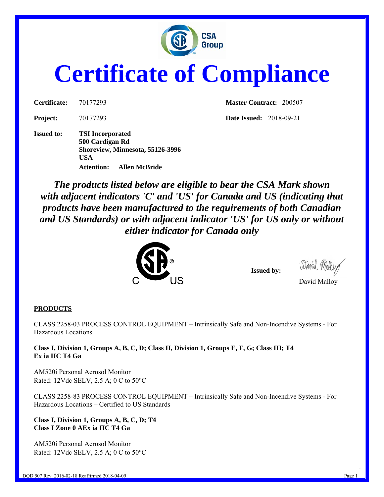

# **Certificate of Compliance**

**Issued to: TSI Incorporated 500 Cardigan Rd Shoreview, Minnesota, 55126-3996 USA Attention: Allen McBride** 

**Certificate:** 70177293 **Master Contract:** 200507

**Project:** 70177293 **Date Issued:** 2018-09-21

*The products listed below are eligible to bear the CSA Mark shown with adjacent indicators 'C' and 'US' for Canada and US (indicating that products have been manufactured to the requirements of both Canadian and US Standards) or with adjacent indicator 'US' for US only or without either indicator for Canada only* 



 **Issued by:** 

## David Malloy

#### **PRODUCTS**

CLASS 2258-03 PROCESS CONTROL EQUIPMENT – Intrinsically Safe and Non-Incendive Systems - For Hazardous Locations

**Class I, Division 1, Groups A, B, C, D; Class II, Division 1, Groups E, F, G; Class III; T4 Ex ia IIC T4 Ga** 

AM520i Personal Aerosol Monitor Rated: 12Vdc SELV, 2.5 A; 0 C to 50°C

CLASS 2258-83 PROCESS CONTROL EQUIPMENT – Intrinsically Safe and Non-Incendive Systems - For Hazardous Locations – Certified to US Standards

For the control of the control of the control of the control of the control of the control of the control of the

**Class I, Division 1, Groups A, B, C, D; T4 Class I Zone 0 AEx ia IIC T4 Ga** 

AM520i Personal Aerosol Monitor Rated: 12Vdc SELV, 2.5 A; 0 C to 50°C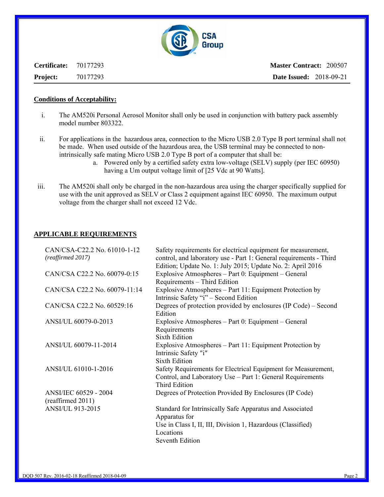

**Certificate:** 70177293 **Project:** 70177293

**Master Contract:** 200507 **Date Issued:** 2018-09-21

#### **Conditions of Acceptability:**

- i. The AM520i Personal Aerosol Monitor shall only be used in conjunction with battery pack assembly model number 803322.
- ii. For applications in the hazardous area, connection to the Micro USB 2.0 Type B port terminal shall not be made. When used outside of the hazardous area, the USB terminal may be connected to nonintrinsically safe mating Micro USB 2.0 Type B port of a computer that shall be:
	- a. Powered only by a certified safety extra low-voltage (SELV) supply (per IEC 60950) having a Um output voltage limit of [25 Vdc at 90 Watts].
- iii. The AM520i shall only be charged in the non-hazardous area using the charger specifically supplied for use with the unit approved as SELV or Class 2 equipment against IEC 60950. The maximum output voltage from the charger shall not exceed 12 Vdc.

#### **APPLICABLE REQUIREMENTS**

| CAN/CSA-C22.2 No. 61010-1-12<br>(reaffirmed 2017) | Safety requirements for electrical equipment for measurement,<br>control, and laboratory use - Part 1: General requirements - Third                                             |
|---------------------------------------------------|---------------------------------------------------------------------------------------------------------------------------------------------------------------------------------|
| CAN/CSA C22.2 No. 60079-0:15                      | Edition; Update No. 1: July 2015; Update No. 2: April 2016<br>Explosive Atmospheres – Part 0: Equipment – General<br>Requirements - Third Edition                               |
| CAN/CSA C22.2 No. 60079-11:14                     | Explosive Atmospheres - Part 11: Equipment Protection by<br>Intrinsic Safety "i" – Second Edition                                                                               |
| CAN/CSA C22.2 No. 60529:16                        | Degrees of protection provided by enclosures (IP Code) – Second<br>Edition                                                                                                      |
| ANSI/UL 60079-0-2013                              | Explosive Atmospheres – Part 0: Equipment – General<br>Requirements<br><b>Sixth Edition</b>                                                                                     |
| ANSI/UL 60079-11-2014                             | Explosive Atmospheres – Part 11: Equipment Protection by<br>Intrinsic Safety "i"<br><b>Sixth Edition</b>                                                                        |
| ANSI/UL 61010-1-2016                              | Safety Requirements for Electrical Equipment for Measurement,<br>Control, and Laboratory Use - Part 1: General Requirements<br><b>Third Edition</b>                             |
| ANSI/IEC 60529 - 2004<br>(reaffirmed 2011)        | Degrees of Protection Provided By Enclosures (IP Code)                                                                                                                          |
| <b>ANSI/UL 913-2015</b>                           | Standard for Intrinsically Safe Apparatus and Associated<br>Apparatus for<br>Use in Class I, II, III, Division 1, Hazardous (Classified)<br>Locations<br><b>Seventh Edition</b> |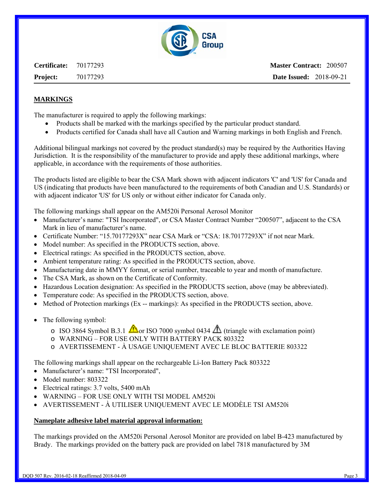

**Certificate:** 70177293 **Project:** 70177293

**Master Contract:** 200507 **Date Issued:** 2018-09-21

## **MARKINGS**

The manufacturer is required to apply the following markings:

- Products shall be marked with the markings specified by the particular product standard.
- Products certified for Canada shall have all Caution and Warning markings in both English and French.

Additional bilingual markings not covered by the product standard(s) may be required by the Authorities Having Jurisdiction. It is the responsibility of the manufacturer to provide and apply these additional markings, where applicable, in accordance with the requirements of those authorities.

The products listed are eligible to bear the CSA Mark shown with adjacent indicators 'C' and 'US' for Canada and US (indicating that products have been manufactured to the requirements of both Canadian and U.S. Standards) or with adjacent indicator 'US' for US only or without either indicator for Canada only.

The following markings shall appear on the AM520i Personal Aerosol Monitor

- Manufacturer's name: "TSI Incorporated", or CSA Master Contract Number "200507", adjacent to the CSA Mark in lieu of manufacturer's name.
- Certificate Number: "15.70177293X" near CSA Mark or "CSA: 18.70177293X" if not near Mark.
- Model number: As specified in the PRODUCTS section, above.
- Electrical ratings: As specified in the PRODUCTS section, above.
- Ambient temperature rating: As specified in the PRODUCTS section, above.
- Manufacturing date in MMYY format, or serial number, traceable to year and month of manufacture.
- The CSA Mark, as shown on the Certificate of Conformity.
- Hazardous Location designation: As specified in the PRODUCTS section, above (may be abbreviated).
- Temperature code: As specified in the PRODUCTS section, above.
- Method of Protection markings (Ex -- markings): As specified in the PRODUCTS section, above.
- The following symbol:
	- o ISO 3864 Symbol B.3.1  $\triangle$  or ISO 7000 symbol 0434  $\triangle$  (triangle with exclamation point)
	- o WARNING FOR USE ONLY WITH BATTERY PACK 803322
	- o AVERTISSEMENT À USAGE UNIQUEMENT AVEC LE BLOC BATTERIE 803322

The following markings shall appear on the rechargeable Li-Ion Battery Pack 803322

- Manufacturer's name: "TSI Incorporated",
- Model number: 803322
- Electrical ratings: 3.7 volts, 5400 mAh
- WARNING FOR USE ONLY WITH TSI MODEL AM520i
- AVERTISSEMENT À UTILISER UNIQUEMENT AVEC LE MODÈLE TSI AM520i

#### **Nameplate adhesive label material approval information:**

The markings provided on the AM520i Personal Aerosol Monitor are provided on label B-423 manufactured by Brady. The markings provided on the battery pack are provided on label 7818 manufactured by 3M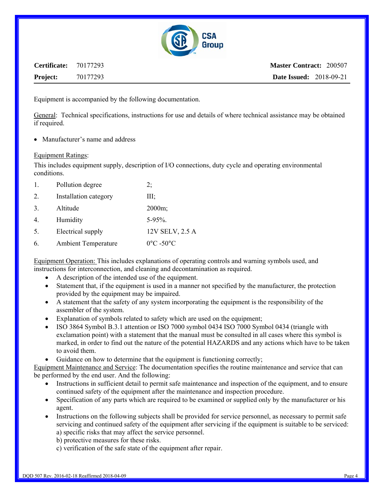

| <b>Certificate:</b> 70177293 |          | <b>Master Contract: 200507</b> |
|------------------------------|----------|--------------------------------|
| <b>Project:</b>              | 70177293 | <b>Date Issued:</b> 2018-09-21 |

Equipment is accompanied by the following documentation.

General: Technical specifications, instructions for use and details of where technical assistance may be obtained if required.

• Manufacturer's name and address

#### Equipment Ratings:

This includes equipment supply, description of I/O connections, duty cycle and operating environmental conditions.

| 1. | Pollution degree           | 2;                             |  |
|----|----------------------------|--------------------------------|--|
| 2. | Installation category      | Ш;                             |  |
| 3. | Altitude                   | $2000m$ ;                      |  |
| 4. | Humidity                   | $5 - 95\%$ .                   |  |
| 5. | Electrical supply          | 12V SELV, 2.5 A                |  |
| 6. | <b>Ambient Temperature</b> | $0^{\circ}$ C -50 $^{\circ}$ C |  |

Equipment Operation: This includes explanations of operating controls and warning symbols used, and instructions for interconnection, and cleaning and decontamination as required.

- A description of the intended use of the equipment.
- Statement that, if the equipment is used in a manner not specified by the manufacturer, the protection provided by the equipment may be impaired.
- A statement that the safety of any system incorporating the equipment is the responsibility of the assembler of the system.
- Explanation of symbols related to safety which are used on the equipment;
- ISO 3864 Symbol B.3.1 attention or ISO 7000 symbol 0434 ISO 7000 Symbol 0434 (triangle with exclamation point) with a statement that the manual must be consulted in all cases where this symbol is marked, in order to find out the nature of the potential HAZARDS and any actions which have to be taken to avoid them.
- Guidance on how to determine that the equipment is functioning correctly;

Equipment Maintenance and Service: The documentation specifies the routine maintenance and service that can be performed by the end user. And the following:

- Instructions in sufficient detail to permit safe maintenance and inspection of the equipment, and to ensure continued safety of the equipment after the maintenance and inspection procedure.
- Specification of any parts which are required to be examined or supplied only by the manufacturer or his agent.
- Instructions on the following subjects shall be provided for service personnel, as necessary to permit safe servicing and continued safety of the equipment after servicing if the equipment is suitable to be serviced: a) specific risks that may affect the service personnel.
	- b) protective measures for these risks.
	- c) verification of the safe state of the equipment after repair.